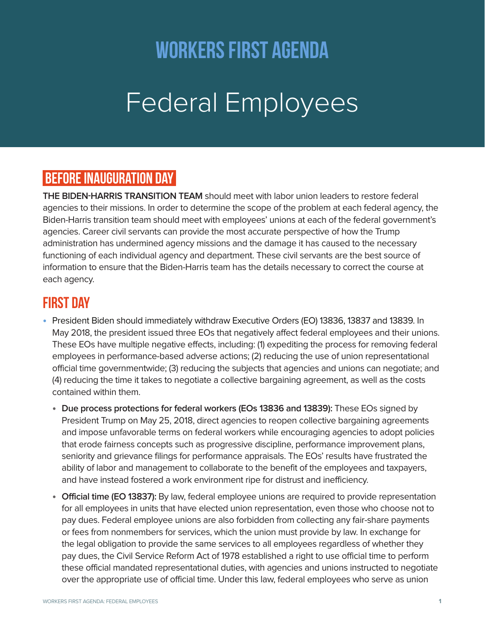## workers first agenda

# Federal Employees

## BEFORE INAUGURATION DAY

**THE BIDEN-HARRIS TRANSITION TEAM** should meet with labor union leaders to restore federal agencies to their missions. In order to determine the scope of the problem at each federal agency, the Biden-Harris transition team should meet with employees' unions at each of the federal government's agencies. Career civil servants can provide the most accurate perspective of how the Trump administration has undermined agency missions and the damage it has caused to the necessary functioning of each individual agency and department. These civil servants are the best source of information to ensure that the Biden-Harris team has the details necessary to correct the course at each agency.

## FIRST DAY

- **•** President Biden should immediately withdraw Executive Orders (EO) 13836, 13837 and 13839. In May 2018, the president issued three EOs that negatively affect federal employees and their unions. These EOs have multiple negative effects, including: (1) expediting the process for removing federal employees in performance-based adverse actions; (2) reducing the use of union representational official time governmentwide; (3) reducing the subjects that agencies and unions can negotiate; and (4) reducing the time it takes to negotiate a collective bargaining agreement, as well as the costs contained within them.
	- **• Due process protections for federal workers (EOs 13836 and 13839):** These EOs signed by President Trump on May 25, 2018, direct agencies to reopen collective bargaining agreements and impose unfavorable terms on federal workers while encouraging agencies to adopt policies that erode fairness concepts such as progressive discipline, performance improvement plans, seniority and grievance filings for performance appraisals. The EOs' results have frustrated the ability of labor and management to collaborate to the benefit of the employees and taxpayers, and have instead fostered a work environment ripe for distrust and inefficiency.
	- **• Official time (EO 13837):** By law, federal employee unions are required to provide representation for all employees in units that have elected union representation, even those who choose not to pay dues. Federal employee unions are also forbidden from collecting any fair-share payments or fees from nonmembers for services, which the union must provide by law. In exchange for the legal obligation to provide the same services to all employees regardless of whether they pay dues, the Civil Service Reform Act of 1978 established a right to use official time to perform these official mandated representational duties, with agencies and unions instructed to negotiate over the appropriate use of official time. Under this law, federal employees who serve as union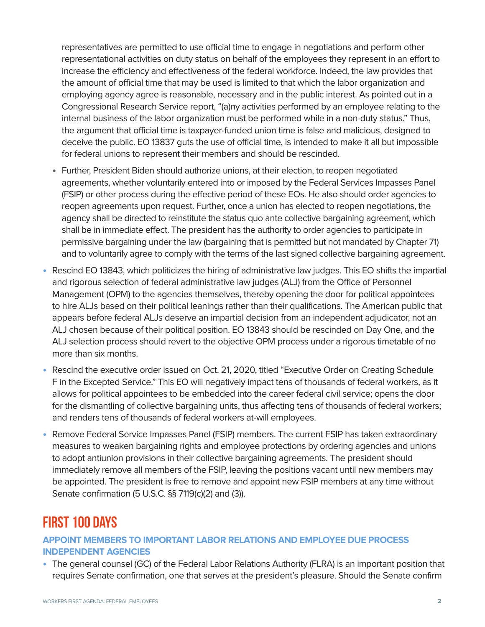representatives are permitted to use official time to engage in negotiations and perform other representational activities on duty status on behalf of the employees they represent in an effort to increase the efficiency and effectiveness of the federal workforce. Indeed, the law provides that the amount of official time that may be used is limited to that which the labor organization and employing agency agree is reasonable, necessary and in the public interest. As pointed out in a Congressional Research Service report, "(a)ny activities performed by an employee relating to the internal business of the labor organization must be performed while in a non-duty status." Thus, the argument that official time is taxpayer-funded union time is false and malicious, designed to deceive the public. EO 13837 guts the use of official time, is intended to make it all but impossible for federal unions to represent their members and should be rescinded.

- **•** Further, President Biden should authorize unions, at their election, to reopen negotiated agreements, whether voluntarily entered into or imposed by the Federal Services Impasses Panel (FSIP) or other process during the effective period of these EOs. He also should order agencies to reopen agreements upon request. Further, once a union has elected to reopen negotiations, the agency shall be directed to reinstitute the status quo ante collective bargaining agreement, which shall be in immediate effect. The president has the authority to order agencies to participate in permissive bargaining under the law (bargaining that is permitted but not mandated by Chapter 71) and to voluntarily agree to comply with the terms of the last signed collective bargaining agreement.
- **•** Rescind EO 13843, which politicizes the hiring of administrative law judges. This EO shifts the impartial and rigorous selection of federal administrative law judges (ALJ) from the Office of Personnel Management (OPM) to the agencies themselves, thereby opening the door for political appointees to hire ALJs based on their political leanings rather than their qualifications. The American public that appears before federal ALJs deserve an impartial decision from an independent adjudicator, not an ALJ chosen because of their political position. EO 13843 should be rescinded on Day One, and the ALJ selection process should revert to the objective OPM process under a rigorous timetable of no more than six months.
- **•** Rescind the executive order issued on Oct. 21, 2020, titled "Executive Order on Creating Schedule F in the Excepted Service." This EO will negatively impact tens of thousands of federal workers, as it allows for political appointees to be embedded into the career federal civil service; opens the door for the dismantling of collective bargaining units, thus affecting tens of thousands of federal workers; and renders tens of thousands of federal workers at-will employees.
- **•** Remove Federal Service Impasses Panel (FSIP) members. The current FSIP has taken extraordinary measures to weaken bargaining rights and employee protections by ordering agencies and unions to adopt antiunion provisions in their collective bargaining agreements. The president should immediately remove all members of the FSIP, leaving the positions vacant until new members may be appointed. The president is free to remove and appoint new FSIP members at any time without Senate confirmation (5 U.S.C. §§ 7119(c)(2) and (3)).

## FIRST 100 DAYS

#### **APPOINT MEMBERS TO IMPORTANT LABOR RELATIONS AND EMPLOYEE DUE PROCESS INDEPENDENT AGENCIES**

**•** The general counsel (GC) of the Federal Labor Relations Authority (FLRA) is an important position that requires Senate confirmation, one that serves at the president's pleasure. Should the Senate confirm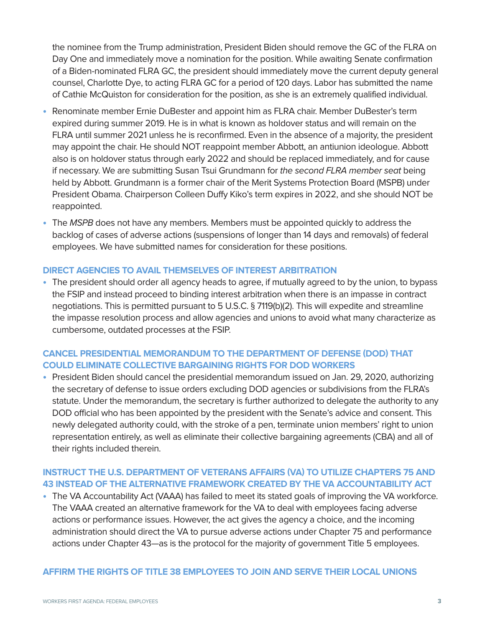the nominee from the Trump administration, President Biden should remove the GC of the FLRA on Day One and immediately move a nomination for the position. While awaiting Senate confirmation of a Biden-nominated FLRA GC, the president should immediately move the current deputy general counsel, Charlotte Dye, to acting FLRA GC for a period of 120 days. Labor has submitted the name of Cathie McQuiston for consideration for the position, as she is an extremely qualified individual.

- **•** Renominate member Ernie DuBester and appoint him as FLRA chair. Member DuBester's term expired during summer 2019. He is in what is known as holdover status and will remain on the FLRA until summer 2021 unless he is reconfirmed. Even in the absence of a majority, the president may appoint the chair. He should NOT reappoint member Abbott, an antiunion ideologue. Abbott also is on holdover status through early 2022 and should be replaced immediately, and for cause if necessary. We are submitting Susan Tsui Grundmann for the second FLRA member seat being held by Abbott. Grundmann is a former chair of the Merit Systems Protection Board (MSPB) under President Obama. Chairperson Colleen Duffy Kiko's term expires in 2022, and she should NOT be reappointed.
- **•** The MSPB does not have any members. Members must be appointed quickly to address the backlog of cases of adverse actions (suspensions of longer than 14 days and removals) of federal employees. We have submitted names for consideration for these positions.

#### **DIRECT AGENCIES TO AVAIL THEMSELVES OF INTEREST ARBITRATION**

**•** The president should order all agency heads to agree, if mutually agreed to by the union, to bypass the FSIP and instead proceed to binding interest arbitration when there is an impasse in contract negotiations. This is permitted pursuant to 5 U.S.C. § 7119(b)(2). This will expedite and streamline the impasse resolution process and allow agencies and unions to avoid what many characterize as cumbersome, outdated processes at the FSIP.

#### **CANCEL PRESIDENTIAL MEMORANDUM TO THE DEPARTMENT OF DEFENSE (DOD) THAT COULD ELIMINATE COLLECTIVE BARGAINING RIGHTS FOR DOD WORKERS**

**•** President Biden should cancel the presidential memorandum issued on Jan. 29, 2020, authorizing the secretary of defense to issue orders excluding DOD agencies or subdivisions from the FLRA's statute. Under the memorandum, the secretary is further authorized to delegate the authority to any DOD official who has been appointed by the president with the Senate's advice and consent. This newly delegated authority could, with the stroke of a pen, terminate union members' right to union representation entirely, as well as eliminate their collective bargaining agreements (CBA) and all of their rights included therein.

#### **INSTRUCT THE U.S. DEPARTMENT OF VETERANS AFFAIRS (VA) TO UTILIZE CHAPTERS 75 AND 43 INSTEAD OF THE ALTERNATIVE FRAMEWORK CREATED BY THE VA ACCOUNTABILITY ACT**

**•** The VA Accountability Act (VAAA) has failed to meet its stated goals of improving the VA workforce. The VAAA created an alternative framework for the VA to deal with employees facing adverse actions or performance issues. However, the act gives the agency a choice, and the incoming administration should direct the VA to pursue adverse actions under Chapter 75 and performance actions under Chapter 43—as is the protocol for the majority of government Title 5 employees.

#### **AFFIRM THE RIGHTS OF TITLE 38 EMPLOYEES TO JOIN AND SERVE THEIR LOCAL UNIONS**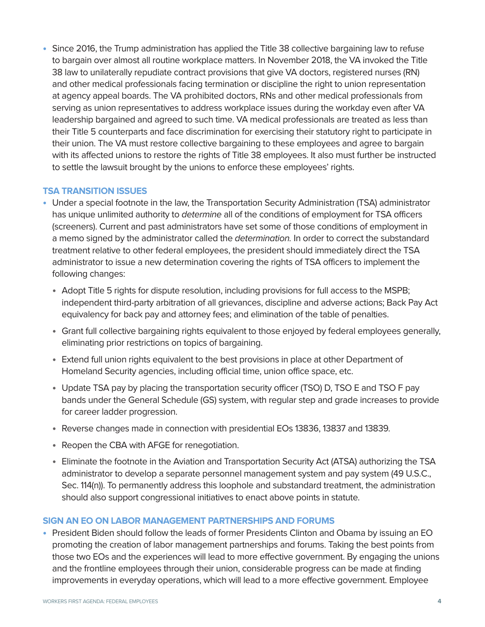**•** Since 2016, the Trump administration has applied the Title 38 collective bargaining law to refuse to bargain over almost all routine workplace matters. In November 2018, the VA invoked the Title 38 law to unilaterally repudiate contract provisions that give VA doctors, registered nurses (RN) and other medical professionals facing termination or discipline the right to union representation at agency appeal boards. The VA prohibited doctors, RNs and other medical professionals from serving as union representatives to address workplace issues during the workday even after VA leadership bargained and agreed to such time. VA medical professionals are treated as less than their Title 5 counterparts and face discrimination for exercising their statutory right to participate in their union. The VA must restore collective bargaining to these employees and agree to bargain with its affected unions to restore the rights of Title 38 employees. It also must further be instructed to settle the lawsuit brought by the unions to enforce these employees' rights.

#### **TSA TRANSITION ISSUES**

- **•** Under a special footnote in the law, the Transportation Security Administration (TSA) administrator has unique unlimited authority to determine all of the conditions of employment for TSA officers (screeners). Current and past administrators have set some of those conditions of employment in a memo signed by the administrator called the *determination*. In order to correct the substandard treatment relative to other federal employees, the president should immediately direct the TSA administrator to issue a new determination covering the rights of TSA officers to implement the following changes:
	- **•** Adopt Title 5 rights for dispute resolution, including provisions for full access to the MSPB; independent third-party arbitration of all grievances, discipline and adverse actions; Back Pay Act equivalency for back pay and attorney fees; and elimination of the table of penalties.
	- **•** Grant full collective bargaining rights equivalent to those enjoyed by federal employees generally, eliminating prior restrictions on topics of bargaining.
	- **•** Extend full union rights equivalent to the best provisions in place at other Department of Homeland Security agencies, including official time, union office space, etc.
	- **•** Update TSA pay by placing the transportation security officer (TSO) D, TSO E and TSO F pay bands under the General Schedule (GS) system, with regular step and grade increases to provide for career ladder progression.
	- **•** Reverse changes made in connection with presidential EOs 13836, 13837 and 13839.
	- **•** Reopen the CBA with AFGE for renegotiation.
	- **•** Eliminate the footnote in the Aviation and Transportation Security Act (ATSA) authorizing the TSA administrator to develop a separate personnel management system and pay system (49 U.S.C., Sec. 114(n)). To permanently address this loophole and substandard treatment, the administration should also support congressional initiatives to enact above points in statute.

#### **SIGN AN EO ON LABOR MANAGEMENT PARTNERSHIPS AND FORUMS**

**•** President Biden should follow the leads of former Presidents Clinton and Obama by issuing an EO promoting the creation of labor management partnerships and forums. Taking the best points from those two EOs and the experiences will lead to more effective government. By engaging the unions and the frontline employees through their union, considerable progress can be made at finding improvements in everyday operations, which will lead to a more effective government. Employee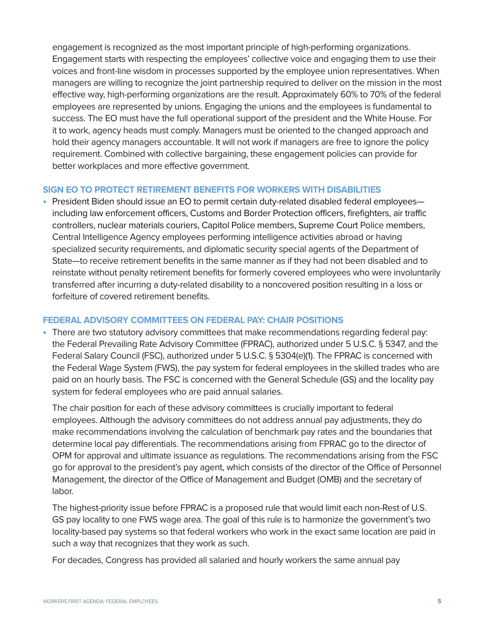engagement is recognized as the most important principle of high-performing organizations. Engagement starts with respecting the employees' collective voice and engaging them to use their voices and front-line wisdom in processes supported by the employee union representatives. When managers are willing to recognize the joint partnership required to deliver on the mission in the most effective way, high-performing organizations are the result. Approximately 60% to 70% of the federal employees are represented by unions. Engaging the unions and the employees is fundamental to success. The EO must have the full operational support of the president and the White House. For it to work, agency heads must comply. Managers must be oriented to the changed approach and hold their agency managers accountable. It will not work if managers are free to ignore the policy requirement. Combined with collective bargaining, these engagement policies can provide for better workplaces and more effective government.

#### **SIGN EO TO PROTECT RETIREMENT BENEFITS FOR WORKERS WITH DISABILITIES**

**•** President Biden should issue an EO to permit certain duty-related disabled federal employees including law enforcement officers, Customs and Border Protection officers, firefighters, air traffic controllers, nuclear materials couriers, Capitol Police members, Supreme Court Police members, Central Intelligence Agency employees performing intelligence activities abroad or having specialized security requirements, and diplomatic security special agents of the Department of State—to receive retirement benefits in the same manner as if they had not been disabled and to reinstate without penalty retirement benefits for formerly covered employees who were involuntarily transferred after incurring a duty-related disability to a noncovered position resulting in a loss or forfeiture of covered retirement benefits.

#### **FEDERAL ADVISORY COMMITTEES ON FEDERAL PAY: CHAIR POSITIONS**

**•** There are two statutory advisory committees that make recommendations regarding federal pay: the Federal Prevailing Rate Advisory Committee (FPRAC), authorized under 5 U.S.C. § 5347, and the Federal Salary Council (FSC), authorized under 5 U.S.C. § 5304(e)(1). The FPRAC is concerned with the Federal Wage System (FWS), the pay system for federal employees in the skilled trades who are paid on an hourly basis. The FSC is concerned with the General Schedule (GS) and the locality pay system for federal employees who are paid annual salaries.

The chair position for each of these advisory committees is crucially important to federal employees. Although the advisory committees do not address annual pay adjustments, they do make recommendations involving the calculation of benchmark pay rates and the boundaries that determine local pay differentials. The recommendations arising from FPRAC go to the director of OPM for approval and ultimate issuance as regulations. The recommendations arising from the FSC go for approval to the president's pay agent, which consists of the director of the Office of Personnel Management, the director of the Office of Management and Budget (OMB) and the secretary of labor.

The highest-priority issue before FPRAC is a proposed rule that would limit each non-Rest of U.S. GS pay locality to one FWS wage area. The goal of this rule is to harmonize the government's two locality-based pay systems so that federal workers who work in the exact same location are paid in such a way that recognizes that they work as such.

For decades, Congress has provided all salaried and hourly workers the same annual pay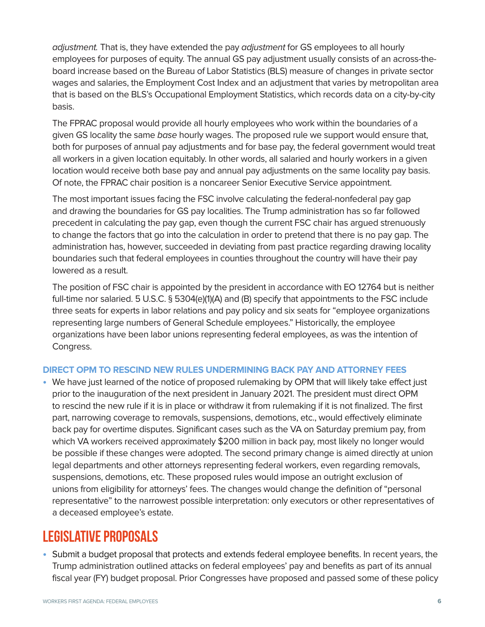adjustment. That is, they have extended the pay adjustment for GS employees to all hourly employees for purposes of equity. The annual GS pay adjustment usually consists of an across-theboard increase based on the Bureau of Labor Statistics (BLS) measure of changes in private sector wages and salaries, the Employment Cost Index and an adjustment that varies by metropolitan area that is based on the BLS's Occupational Employment Statistics, which records data on a city-by-city basis.

The FPRAC proposal would provide all hourly employees who work within the boundaries of a given GS locality the same base hourly wages. The proposed rule we support would ensure that, both for purposes of annual pay adjustments and for base pay, the federal government would treat all workers in a given location equitably. In other words, all salaried and hourly workers in a given location would receive both base pay and annual pay adjustments on the same locality pay basis. Of note, the FPRAC chair position is a noncareer Senior Executive Service appointment.

The most important issues facing the FSC involve calculating the federal-nonfederal pay gap and drawing the boundaries for GS pay localities. The Trump administration has so far followed precedent in calculating the pay gap, even though the current FSC chair has argued strenuously to change the factors that go into the calculation in order to pretend that there is no pay gap. The administration has, however, succeeded in deviating from past practice regarding drawing locality boundaries such that federal employees in counties throughout the country will have their pay lowered as a result.

The position of FSC chair is appointed by the president in accordance with EO 12764 but is neither full-time nor salaried. 5 U.S.C. § 5304(e)(1)(A) and (B) specify that appointments to the FSC include three seats for experts in labor relations and pay policy and six seats for "employee organizations representing large numbers of General Schedule employees." Historically, the employee organizations have been labor unions representing federal employees, as was the intention of Congress.

#### **DIRECT OPM TO RESCIND NEW RULES UNDERMINING BACK PAY AND ATTORNEY FEES**

**•** We have just learned of the notice of proposed rulemaking by OPM that will likely take effect just prior to the inauguration of the next president in January 2021. The president must direct OPM to rescind the new rule if it is in place or withdraw it from rulemaking if it is not finalized. The first part, narrowing coverage to removals, suspensions, demotions, etc., would effectively eliminate back pay for overtime disputes. Significant cases such as the VA on Saturday premium pay, from which VA workers received approximately \$200 million in back pay, most likely no longer would be possible if these changes were adopted. The second primary change is aimed directly at union legal departments and other attorneys representing federal workers, even regarding removals, suspensions, demotions, etc. These proposed rules would impose an outright exclusion of unions from eligibility for attorneys' fees. The changes would change the definition of "personal representative" to the narrowest possible interpretation: only executors or other representatives of a deceased employee's estate.

## Legislative Proposals

**•** Submit a budget proposal that protects and extends federal employee benefits. In recent years, the Trump administration outlined attacks on federal employees' pay and benefits as part of its annual fiscal year (FY) budget proposal. Prior Congresses have proposed and passed some of these policy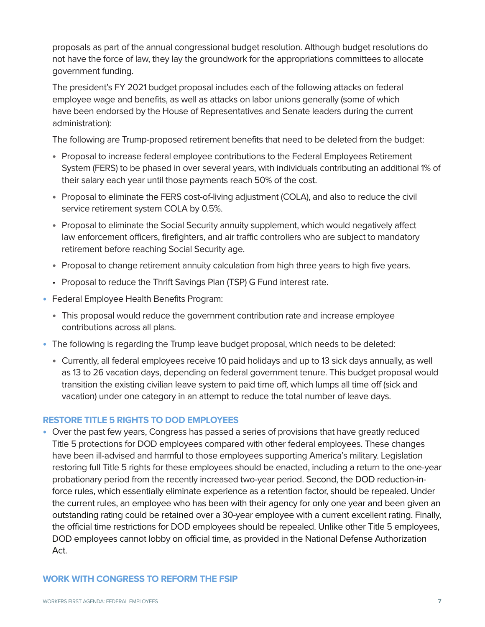proposals as part of the annual congressional budget resolution. Although budget resolutions do not have the force of law, they lay the groundwork for the appropriations committees to allocate government funding.

The president's FY 2021 budget proposal includes each of the following attacks on federal employee wage and benefits, as well as attacks on labor unions generally (some of which have been endorsed by the House of Representatives and Senate leaders during the current administration):

The following are Trump-proposed retirement benefits that need to be deleted from the budget:

- **•** Proposal to increase federal employee contributions to the Federal Employees Retirement System (FERS) to be phased in over several years, with individuals contributing an additional 1% of their salary each year until those payments reach 50% of the cost.
- **•** Proposal to eliminate the FERS cost-of-living adjustment (COLA), and also to reduce the civil service retirement system COLA by 0.5%.
- **•** Proposal to eliminate the Social Security annuity supplement, which would negatively affect law enforcement officers, firefighters, and air traffic controllers who are subject to mandatory retirement before reaching Social Security age.
- **•** Proposal to change retirement annuity calculation from high three years to high five years.
- Proposal to reduce the Thrift Savings Plan (TSP) G Fund interest rate.
- **•** Federal Employee Health Benefits Program:
	- **•** This proposal would reduce the government contribution rate and increase employee contributions across all plans.
- **•** The following is regarding the Trump leave budget proposal, which needs to be deleted:
	- **•** Currently, all federal employees receive 10 paid holidays and up to 13 sick days annually, as well as 13 to 26 vacation days, depending on federal government tenure. This budget proposal would transition the existing civilian leave system to paid time off, which lumps all time off (sick and vacation) under one category in an attempt to reduce the total number of leave days.

#### **RESTORE TITLE 5 RIGHTS TO DOD EMPLOYEES**

**•** Over the past few years, Congress has passed a series of provisions that have greatly reduced Title 5 protections for DOD employees compared with other federal employees. These changes have been ill-advised and harmful to those employees supporting America's military. Legislation restoring full Title 5 rights for these employees should be enacted, including a return to the one-year probationary period from the recently increased two-year period. Second, the DOD reduction-inforce rules, which essentially eliminate experience as a retention factor, should be repealed. Under the current rules, an employee who has been with their agency for only one year and been given an outstanding rating could be retained over a 30-year employee with a current excellent rating. Finally, the official time restrictions for DOD employees should be repealed. Unlike other Title 5 employees, DOD employees cannot lobby on official time, as provided in the National Defense Authorization Act.

#### **WORK WITH CONGRESS TO REFORM THE FSIP**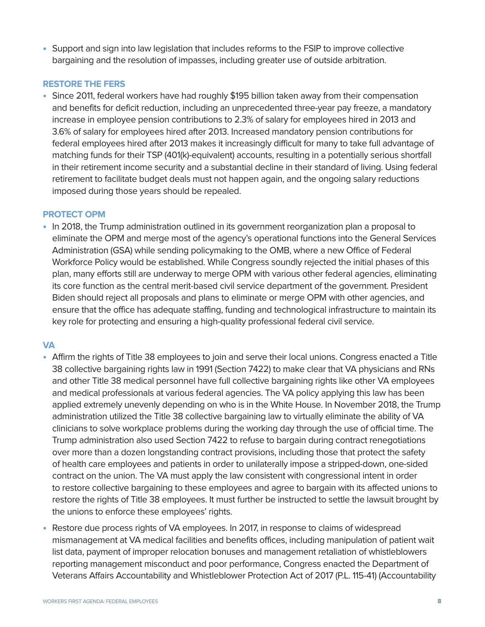**•** Support and sign into law legislation that includes reforms to the FSIP to improve collective bargaining and the resolution of impasses, including greater use of outside arbitration.

#### **RESTORE THE FERS**

**•** Since 2011, federal workers have had roughly \$195 billion taken away from their compensation and benefits for deficit reduction, including an unprecedented three-year pay freeze, a mandatory increase in employee pension contributions to 2.3% of salary for employees hired in 2013 and 3.6% of salary for employees hired after 2013. Increased mandatory pension contributions for federal employees hired after 2013 makes it increasingly difficult for many to take full advantage of matching funds for their TSP (401(k)-equivalent) accounts, resulting in a potentially serious shortfall in their retirement income security and a substantial decline in their standard of living. Using federal retirement to facilitate budget deals must not happen again, and the ongoing salary reductions imposed during those years should be repealed.

#### **PROTECT OPM**

**•** In 2018, the Trump administration outlined in its government reorganization plan a proposal to eliminate the OPM and merge most of the agency's operational functions into the General Services Administration (GSA) while sending policymaking to the OMB, where a new Office of Federal Workforce Policy would be established. While Congress soundly rejected the initial phases of this plan, many efforts still are underway to merge OPM with various other federal agencies, eliminating its core function as the central merit-based civil service department of the government. President Biden should reject all proposals and plans to eliminate or merge OPM with other agencies, and ensure that the office has adequate staffing, funding and technological infrastructure to maintain its key role for protecting and ensuring a high-quality professional federal civil service.

#### **VA**

- **•** Affirm the rights of Title 38 employees to join and serve their local unions. Congress enacted a Title 38 collective bargaining rights law in 1991 (Section 7422) to make clear that VA physicians and RNs and other Title 38 medical personnel have full collective bargaining rights like other VA employees and medical professionals at various federal agencies. The VA policy applying this law has been applied extremely unevenly depending on who is in the White House. In November 2018, the Trump administration utilized the Title 38 collective bargaining law to virtually eliminate the ability of VA clinicians to solve workplace problems during the working day through the use of official time. The Trump administration also used Section 7422 to refuse to bargain during contract renegotiations over more than a dozen longstanding contract provisions, including those that protect the safety of health care employees and patients in order to unilaterally impose a stripped-down, one-sided contract on the union. The VA must apply the law consistent with congressional intent in order to restore collective bargaining to these employees and agree to bargain with its affected unions to restore the rights of Title 38 employees. It must further be instructed to settle the lawsuit brought by the unions to enforce these employees' rights.
- **•** Restore due process rights of VA employees. In 2017, in response to claims of widespread mismanagement at VA medical facilities and benefits offices, including manipulation of patient wait list data, payment of improper relocation bonuses and management retaliation of whistleblowers reporting management misconduct and poor performance, Congress enacted the Department of Veterans Affairs Accountability and Whistleblower Protection Act of 2017 (P.L. 115-41) (Accountability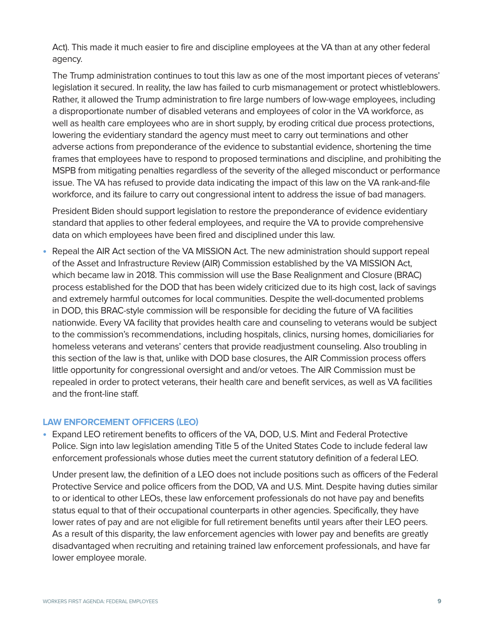Act). This made it much easier to fire and discipline employees at the VA than at any other federal agency.

The Trump administration continues to tout this law as one of the most important pieces of veterans' legislation it secured. In reality, the law has failed to curb mismanagement or protect whistleblowers. Rather, it allowed the Trump administration to fire large numbers of low-wage employees, including a disproportionate number of disabled veterans and employees of color in the VA workforce, as well as health care employees who are in short supply, by eroding critical due process protections, lowering the evidentiary standard the agency must meet to carry out terminations and other adverse actions from preponderance of the evidence to substantial evidence, shortening the time frames that employees have to respond to proposed terminations and discipline, and prohibiting the MSPB from mitigating penalties regardless of the severity of the alleged misconduct or performance issue. The VA has refused to provide data indicating the impact of this law on the VA rank-and-file workforce, and its failure to carry out congressional intent to address the issue of bad managers.

President Biden should support legislation to restore the preponderance of evidence evidentiary standard that applies to other federal employees, and require the VA to provide comprehensive data on which employees have been fired and disciplined under this law.

**•** Repeal the AIR Act section of the VA MISSION Act. The new administration should support repeal of the Asset and Infrastructure Review (AIR) Commission established by the VA MISSION Act, which became law in 2018. This commission will use the Base Realignment and Closure (BRAC) process established for the DOD that has been widely criticized due to its high cost, lack of savings and extremely harmful outcomes for local communities. Despite the well-documented problems in DOD, this BRAC-style commission will be responsible for deciding the future of VA facilities nationwide. Every VA facility that provides health care and counseling to veterans would be subject to the commission's recommendations, including hospitals, clinics, nursing homes, domiciliaries for homeless veterans and veterans' centers that provide readjustment counseling. Also troubling in this section of the law is that, unlike with DOD base closures, the AIR Commission process offers little opportunity for congressional oversight and and/or vetoes. The AIR Commission must be repealed in order to protect veterans, their health care and benefit services, as well as VA facilities and the front-line staff.

#### **LAW ENFORCEMENT OFFICERS (LEO)**

**•** Expand LEO retirement benefits to officers of the VA, DOD, U.S. Mint and Federal Protective Police. Sign into law legislation amending Title 5 of the United States Code to include federal law enforcement professionals whose duties meet the current statutory definition of a federal LEO.

Under present law, the definition of a LEO does not include positions such as officers of the Federal Protective Service and police officers from the DOD, VA and U.S. Mint. Despite having duties similar to or identical to other LEOs, these law enforcement professionals do not have pay and benefits status equal to that of their occupational counterparts in other agencies. Specifically, they have lower rates of pay and are not eligible for full retirement benefits until years after their LEO peers. As a result of this disparity, the law enforcement agencies with lower pay and benefits are greatly disadvantaged when recruiting and retaining trained law enforcement professionals, and have far lower employee morale.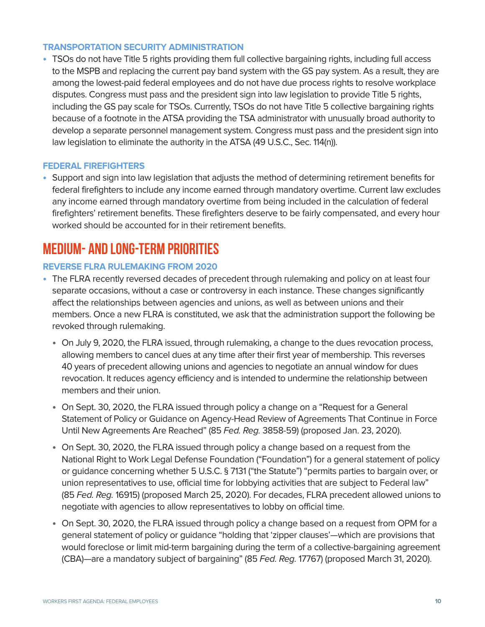#### **TRANSPORTATION SECURITY ADMINISTRATION**

**•** TSOs do not have Title 5 rights providing them full collective bargaining rights, including full access to the MSPB and replacing the current pay band system with the GS pay system. As a result, they are among the lowest-paid federal employees and do not have due process rights to resolve workplace disputes. Congress must pass and the president sign into law legislation to provide Title 5 rights, including the GS pay scale for TSOs. Currently, TSOs do not have Title 5 collective bargaining rights because of a footnote in the ATSA providing the TSA administrator with unusually broad authority to develop a separate personnel management system. Congress must pass and the president sign into law legislation to eliminate the authority in the ATSA (49 U.S.C., Sec. 114(n)).

#### **FEDERAL FIREFIGHTERS**

**•** Support and sign into law legislation that adjusts the method of determining retirement benefits for federal firefighters to include any income earned through mandatory overtime. Current law excludes any income earned through mandatory overtime from being included in the calculation of federal firefighters' retirement benefits. These firefighters deserve to be fairly compensated, and every hour worked should be accounted for in their retirement benefits.

## MEDIUM- AND LONG-TERM PRIORITIES

#### **REVERSE FLRA RULEMAKING FROM 2020**

- **•** The FLRA recently reversed decades of precedent through rulemaking and policy on at least four separate occasions, without a case or controversy in each instance. These changes significantly affect the relationships between agencies and unions, as well as between unions and their members. Once a new FLRA is constituted, we ask that the administration support the following be revoked through rulemaking.
	- **•** On July 9, 2020, the FLRA issued, through rulemaking, a change to the dues revocation process, allowing members to cancel dues at any time after their first year of membership. This reverses 40 years of precedent allowing unions and agencies to negotiate an annual window for dues revocation. It reduces agency efficiency and is intended to undermine the relationship between members and their union.
	- **•** On Sept. 30, 2020, the FLRA issued through policy a change on a "Request for a General Statement of Policy or Guidance on Agency-Head Review of Agreements That Continue in Force Until New Agreements Are Reached" (85 Fed. Reg. 3858-59) (proposed Jan. 23, 2020).
	- **•** On Sept. 30, 2020, the FLRA issued through policy a change based on a request from the National Right to Work Legal Defense Foundation ("Foundation") for a general statement of policy or guidance concerning whether 5 U.S.C. § 7131 ("the Statute") "permits parties to bargain over, or union representatives to use, official time for lobbying activities that are subject to Federal law" (85 Fed. Reg. 16915) (proposed March 25, 2020). For decades, FLRA precedent allowed unions to negotiate with agencies to allow representatives to lobby on official time.
	- **•** On Sept. 30, 2020, the FLRA issued through policy a change based on a request from OPM for a general statement of policy or guidance "holding that 'zipper clauses'—which are provisions that would foreclose or limit mid-term bargaining during the term of a collective-bargaining agreement (CBA)—are a mandatory subject of bargaining" (85 Fed. Reg. 17767) (proposed March 31, 2020).